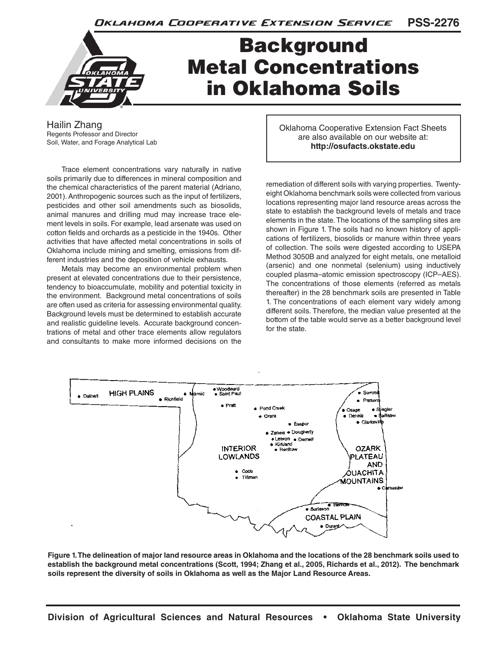

## Background Metal Concentrations in Oklahoma Soils

Hailin Zhang Regents Professor and Director Soil, Water, and Forage Analytical Lab

Trace element concentrations vary naturally in native soils primarily due to differences in mineral composition and the chemical characteristics of the parent material (Adriano, 2001). Anthropogenic sources such as the input of fertilizers, pesticides and other soil amendments such as biosolids, animal manures and drilling mud may increase trace element levels in soils. For example, lead arsenate was used on cotton fields and orchards as a pesticide in the 1940s. Other activities that have affected metal concentrations in soils of Oklahoma include mining and smelting, emissions from different industries and the deposition of vehicle exhausts.

Metals may become an environmental problem when present at elevated concentrations due to their persistence, tendency to bioaccumulate, mobility and potential toxicity in the environment. Background metal concentrations of soils are often used as criteria for assessing environmental quality. Background levels must be determined to establish accurate and realistic guideline levels. Accurate background concentrations of metal and other trace elements allow regulators and consultants to make more informed decisions on the

Oklahoma Cooperative Extension Fact Sheets are also available on our website at: **http://osufacts.okstate.edu**

remediation of different soils with varying properties. Twentyeight Oklahoma benchmark soils were collected from various locations representing major land resource areas across the state to establish the background levels of metals and trace elements in the state. The locations of the sampling sites are shown in Figure 1. The soils had no known history of applications of fertilizers, biosolids or manure within three years of collection. The soils were digested according to USEPA Method 3050B and analyzed for eight metals, one metalloid (arsenic) and one nonmetal (selenium) using inductively coupled plasma–atomic emission spectroscopy (ICP–AES). The concentrations of those elements (referred as metals thereafter) in the 28 benchmark soils are presented in Table 1. The concentrations of each element vary widely among different soils. Therefore, the median value presented at the bottom of the table would serve as a better background level for the state.



**Figure 1. The delineation of major land resource areas in Oklahoma and the locations of the 28 benchmark soils used to establish the background metal concentrations (Scott, 1994; Zhang et al., 2005, Richards et al., 2012). The benchmark soils represent the diversity of soils in Oklahoma as well as the Major Land Resource Areas.**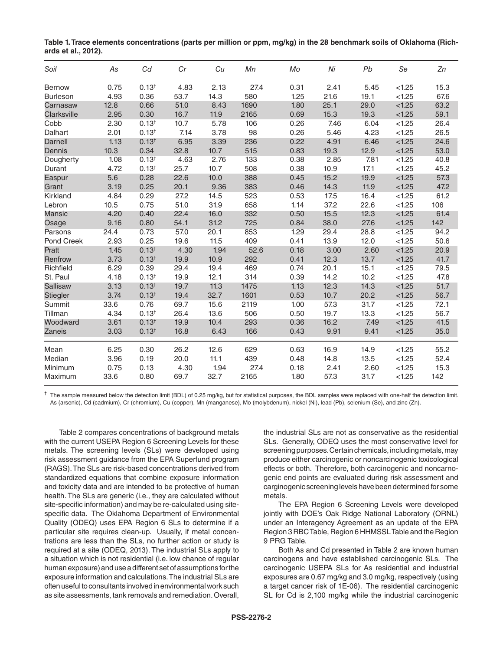| Table 1. Trace elements concentrations (parts per million or ppm, mg/kg) in the 28 benchmark soils of Oklahoma (Rich- |  |  |
|-----------------------------------------------------------------------------------------------------------------------|--|--|
| ards et al., 2012).                                                                                                   |  |  |

| Soil              | As   | Cd                | Cr   | Cu   | Mn   | Mo   | Ni   | Pb   | Se     | Zn   |
|-------------------|------|-------------------|------|------|------|------|------|------|--------|------|
| Bernow            | 0.75 | $0.13^{+}$        | 4.83 | 2.13 | 27.4 | 0.31 | 2.41 | 5.45 | < 1.25 | 15.3 |
| <b>Burleson</b>   | 4.93 | 0.36              | 53.7 | 14.3 | 580  | 1.25 | 21.6 | 19.1 | < 1.25 | 67.6 |
| Carnasaw          | 12.8 | 0.66              | 51.0 | 8.43 | 1690 | 1.80 | 25.1 | 29.0 | < 1.25 | 63.2 |
| Clarksville       | 2.95 | 0.30              | 16.7 | 11.9 | 2165 | 0.69 | 15.3 | 19.3 | < 1.25 | 59.1 |
| Cobb              | 2.30 | $0.13^{+}$        | 10.7 | 5.78 | 106  | 0.26 | 7.46 | 6.04 | < 1.25 | 26.4 |
| Dalhart           | 2.01 | $0.13^{+}$        | 7.14 | 3.78 | 98   | 0.26 | 5.46 | 4.23 | < 1.25 | 26.5 |
| Darnell           | 1.13 | $0.13^{+}$        | 6.95 | 3.39 | 236  | 0.22 | 4.91 | 6.46 | < 1.25 | 24.6 |
| Dennis            | 10.3 | 0.34              | 32.8 | 10.7 | 515  | 0.83 | 19.3 | 12.9 | < 1.25 | 53.0 |
| Dougherty         | 1.08 | 0.13 <sup>†</sup> | 4.63 | 2.76 | 133  | 0.38 | 2.85 | 7.81 | < 1.25 | 40.8 |
| Durant            | 4.72 | $0.13^{+}$        | 25.7 | 10.7 | 508  | 0.38 | 10.9 | 17.1 | < 1.25 | 45.2 |
| Easpur            | 5.6  | 0.28              | 22.6 | 10.0 | 388  | 0.45 | 15.2 | 19.9 | < 1.25 | 57.3 |
| Grant             | 3.19 | 0.25              | 20.1 | 9.36 | 383  | 0.46 | 14.3 | 11.9 | < 1.25 | 47.2 |
| Kirkland          | 4.84 | 0.29              | 27.2 | 14.5 | 523  | 0.53 | 17.5 | 16.4 | < 1.25 | 61.2 |
| Lebron            | 10.5 | 0.75              | 51.0 | 31.9 | 658  | 1.14 | 37.2 | 22.6 | < 1.25 | 106  |
| Mansic            | 4.20 | 0.40              | 22.4 | 16.0 | 332  | 0.50 | 15.5 | 12.3 | < 1.25 | 61.4 |
| Osage             | 9.16 | 0.80              | 54.1 | 31.2 | 725  | 0.84 | 38.0 | 27.6 | < 1.25 | 142  |
| Parsons           | 24.4 | 0.73              | 57.0 | 20.1 | 853  | 1.29 | 29.4 | 28.8 | < 1.25 | 94.2 |
| <b>Pond Creek</b> | 2.93 | 0.25              | 19.6 | 11.5 | 409  | 0.41 | 13.9 | 12.0 | < 1.25 | 50.6 |
| Pratt             | 1.45 | $0.13^{+}$        | 4.30 | 1.94 | 52.6 | 0.18 | 3.00 | 2.60 | < 1.25 | 20.9 |
| Renfrow           | 3.73 | $0.13^{+}$        | 19.9 | 10.9 | 292  | 0.41 | 12.3 | 13.7 | < 1.25 | 41.7 |
| Richfield         | 6.29 | 0.39              | 29.4 | 19.4 | 469  | 0.74 | 20.1 | 15.1 | < 1.25 | 79.5 |
| St. Paul          | 4.18 | $0.13^{+}$        | 19.9 | 12.1 | 314  | 0.39 | 14.2 | 10.2 | < 1.25 | 47.8 |
| <b>Sallisaw</b>   | 3.13 | 0.13 <sup>†</sup> | 19.7 | 11.3 | 1475 | 1.13 | 12.3 | 14.3 | < 1.25 | 51.7 |
| Stiegler          | 3.74 | 0.13 <sup>†</sup> | 19.4 | 32.7 | 1601 | 0.53 | 10.7 | 20.2 | < 1.25 | 56.7 |
| Summit            | 33.6 | 0.76              | 69.7 | 15.6 | 2119 | 1.00 | 57.3 | 31.7 | < 1.25 | 72.1 |
| Tillman           | 4.34 | $0.13^{+}$        | 26.4 | 13.6 | 506  | 0.50 | 19.7 | 13.3 | < 1.25 | 56.7 |
| Woodward          | 3.61 | 0.13 <sup>†</sup> | 19.9 | 10.4 | 293  | 0.36 | 16.2 | 7.49 | < 1.25 | 41.5 |
| Zaneis            | 3.03 | $0.13^{+}$        | 16.8 | 6.43 | 166  | 0.43 | 9.91 | 9.41 | < 1.25 | 35.0 |
| Mean              | 6.25 | 0.30              | 26.2 | 12.6 | 629  | 0.63 | 16.9 | 14.9 | < 1.25 | 55.2 |
| Median            | 3.96 | 0.19              | 20.0 | 11.1 | 439  | 0.48 | 14.8 | 13.5 | < 1.25 | 52.4 |
| Minimum           | 0.75 | 0.13              | 4.30 | 1.94 | 27.4 | 0.18 | 2.41 | 2.60 | < 1.25 | 15.3 |
| Maximum           | 33.6 | 0.80              | 69.7 | 32.7 | 2165 | 1.80 | 57.3 | 31.7 | < 1.25 | 142  |

 $\dagger$  The sample measured below the detection limit (BDL) of 0.25 mg/kg, but for statistical purposes, the BDL samples were replaced with one-half the detection limit. As (arsenic), Cd (cadmium), Cr (chromium), Cu (copper), Mn (manganese), Mo (molybdenum), nickel (Ni), lead (Pb), selenium (Se), and zinc (Zn).

Table 2 compares concentrations of background metals with the current USEPA Region 6 Screening Levels for these metals. The screening levels (SLs) were developed using risk assessment guidance from the EPA Superfund program (RAGS). The SLs are risk-based concentrations derived from standardized equations that combine exposure information and toxicity data and are intended to be protective of human health. The SLs are generic (i.e., they are calculated without site-specific information) and may be re-calculated using sitespecific data. The Oklahoma Department of Environmental Quality (ODEQ) uses EPA Region 6 SLs to determine if a particular site requires clean-up. Usually, if metal concentrations are less than the SLs, no further action or study is required at a site (ODEQ, 2013). The industrial SLs apply to a situation which is not residential (i.e. low chance of regular human exposure) and use a different set of assumptions for the exposure information and calculations. The industrial SLs are often useful to consultants involved in environmental work such as site assessments, tank removals and remediation. Overall,

the industrial SLs are not as conservative as the residential SLs. Generally, ODEQ uses the most conservative level for screening purposes. Certain chemicals, including metals, may produce either carcinogenic or noncarcinogenic toxicological effects or both. Therefore, both carcinogenic and noncarnogenic end points are evaluated during risk assessment and carginogenic screening levels have been determined for some metals.

The EPA Region 6 Screening Levels were developed jointly with DOE's Oak Ridge National Laboratory (ORNL) under an Interagency Agreement as an update of the EPA Region 3 RBC Table, Region 6 HHMSSL Table and the Region 9 PRG Table.

Both As and Cd presented in Table 2 are known human carcinogens and have established carcinogenic SLs. The carcinogenic USEPA SLs for As residential and industrial exposures are 0.67 mg/kg and 3.0 mg/kg, respectively (using a target cancer risk of 1E-06). The residential carcinogenic SL for Cd is 2,100 mg/kg while the industrial carcinogenic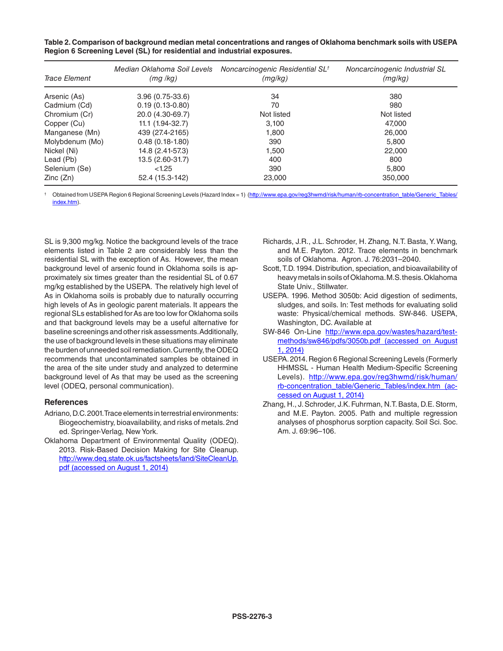| Trace Element   | Median Oklahoma Soil Levels<br>(mq/kg) | Noncarcinogenic Residential SL <sup>†</sup><br>(mg/kg) | Noncarcinogenic Industrial SL<br>(mq/kg) |
|-----------------|----------------------------------------|--------------------------------------------------------|------------------------------------------|
| Arsenic (As)    | $3.96(0.75-33.6)$                      | 34                                                     | 380                                      |
| Cadmium (Cd)    | $0.19(0.13-0.80)$                      | 70                                                     | 980                                      |
| Chromium (Cr)   | 20.0 (4.30-69.7)                       | Not listed                                             | Not listed                               |
| Copper (Cu)     | $11.1(1.94-32.7)$                      | 3,100                                                  | 47.000                                   |
| Manganese (Mn)  | 439 (27.4-2165)                        | 1,800                                                  | 26,000                                   |
| Molybdenum (Mo) | $0.48(0.18-1.80)$                      | 390                                                    | 5,800                                    |
| Nickel (Ni)     | 14.8 (2.41-57.3)                       | 1,500                                                  | 22,000                                   |
| Lead (Pb)       | 13.5 (2.60-31.7)                       | 400                                                    | 800                                      |
| Selenium (Se)   | < 1.25                                 | 390                                                    | 5,800                                    |
| Zinc(Zn)        | 52.4 (15.3-142)                        | 23,000                                                 | 350,000                                  |

**Table 2. Comparison of background median metal concentrations and ranges of Oklahoma benchmark soils with USEPA Region 6 Screening Level (SL) for residential and industrial exposures.** 

†Obtained from USEPA Region 6 Regional Screening Levels (Hazard Index = 1) (http://www.epa.gov/reg3hwmd/risk/human/rb-concentration\_table/Generic\_Tables/ index.htm).

SL is 9,300 mg/kg. Notice the background levels of the trace elements listed in Table 2 are considerably less than the residential SL with the exception of As. However, the mean background level of arsenic found in Oklahoma soils is approximately six times greater than the residential SL of 0.67 mg/kg established by the USEPA. The relatively high level of As in Oklahoma soils is probably due to naturally occurring high levels of As in geologic parent materials. It appears the regional SLs established for As are too low for Oklahoma soils and that background levels may be a useful alternative for baseline screenings and other risk assessments. Additionally, the use of background levels in these situations may eliminate the burden of unneeded soil remediation. Currently, the ODEQ recommends that uncontaminated samples be obtained in the area of the site under study and analyzed to determine background level of As that may be used as the screening level (ODEQ, personal communication).

## **References**

- Adriano, D.C. 2001. Trace elements in terrestrial environments: Biogeochemistry, bioavailability, and risks of metals. 2nd ed. Springer-Verlag, New York.
- Oklahoma Department of Environmental Quality (ODEQ). 2013. Risk-Based Decision Making for Site Cleanup. http://www.deq.state.ok.us/factsheets/land/SiteCleanUp. pdf (accessed on August 1, 2014)
- Richards, J.R., J.L. Schroder, H. Zhang, N.T. Basta, Y. Wang, and M.E. Payton. 2012. Trace elements in benchmark soils of Oklahoma. Agron. J. 76:2031–2040.
- Scott, T.D. 1994. Distribution, speciation, and bioavailability of heavy metals in soils of Oklahoma. M.S. thesis. Oklahoma State Univ., Stillwater.
- USEPA. 1996. Method 3050b: Acid digestion of sediments, sludges, and soils. In: Test methods for evaluating solid waste: Physical/chemical methods. SW-846. USEPA, Washington, DC. Available at
- SW-846 On-Line http://www.epa.gov/wastes/hazard/testmethods/sw846/pdfs/3050b.pdf (accessed on August 1, 2014)
- USEPA. 2014. Region 6 Regional Screening Levels (Formerly HHMSSL - Human Health Medium-Specific Screening Levels). http://www.epa.gov/reg3hwmd/risk/human/ rb-concentration\_table/Generic\_Tables/index.htm (accessed on August 1, 2014)
- Zhang, H., J. Schroder, J.K. Fuhrman, N.T. Basta, D.E. Storm, and M.E. Payton. 2005. Path and multiple regression analyses of phosphorus sorption capacity. Soil Sci. Soc. Am. J. 69:96–106.